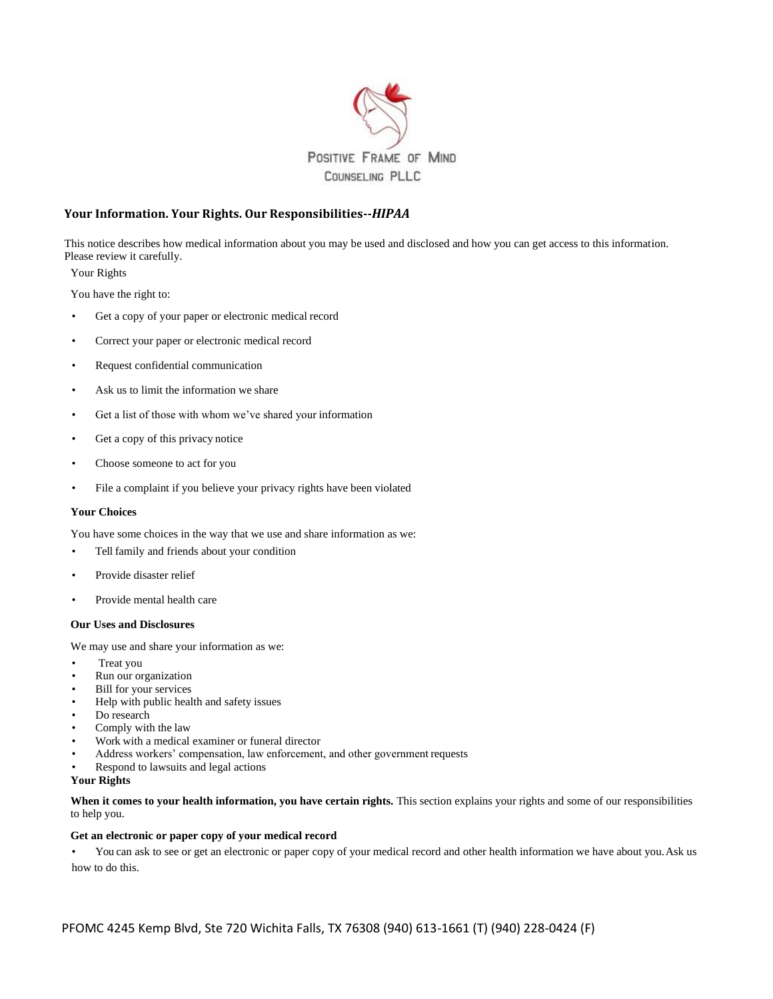

## **Your Information. Your Rights. Our Responsibilities--***HIPAA*

This notice describes how medical information about you may be used and disclosed and how you can get access to this information. Please review it carefully.

Your Rights

You have the right to:

- Get a copy of your paper or electronic medical record
- Correct your paper or electronic medical record
- Request confidential communication
- Ask us to limit the information we share
- Get a list of those with whom we've shared your information
- Get a copy of this privacy notice
- Choose someone to act for you
- File a complaint if you believe your privacy rights have been violated

#### **Your Choices**

You have some choices in the way that we use and share information as we:

- Tell family and friends about your condition
- Provide disaster relief
- Provide mental health care

# **Our Uses and Disclosures**

We may use and share your information as we:

- Treat you
- Run our organization
- Bill for your services
- Help with public health and safety issues
- Do research
- Comply with the law
- Work with a medical examiner or funeral director
- Address workers' compensation, law enforcement, and other government requests
- Respond to lawsuits and legal actions

## **Your Rights**

When it comes to your health information, you have certain rights. This section explains your rights and some of our responsibilities to help you.

## **Get an electronic or paper copy of your medical record**

• You can ask to see or get an electronic or paper copy of your medical record and other health information we have about you.Ask us how to do this.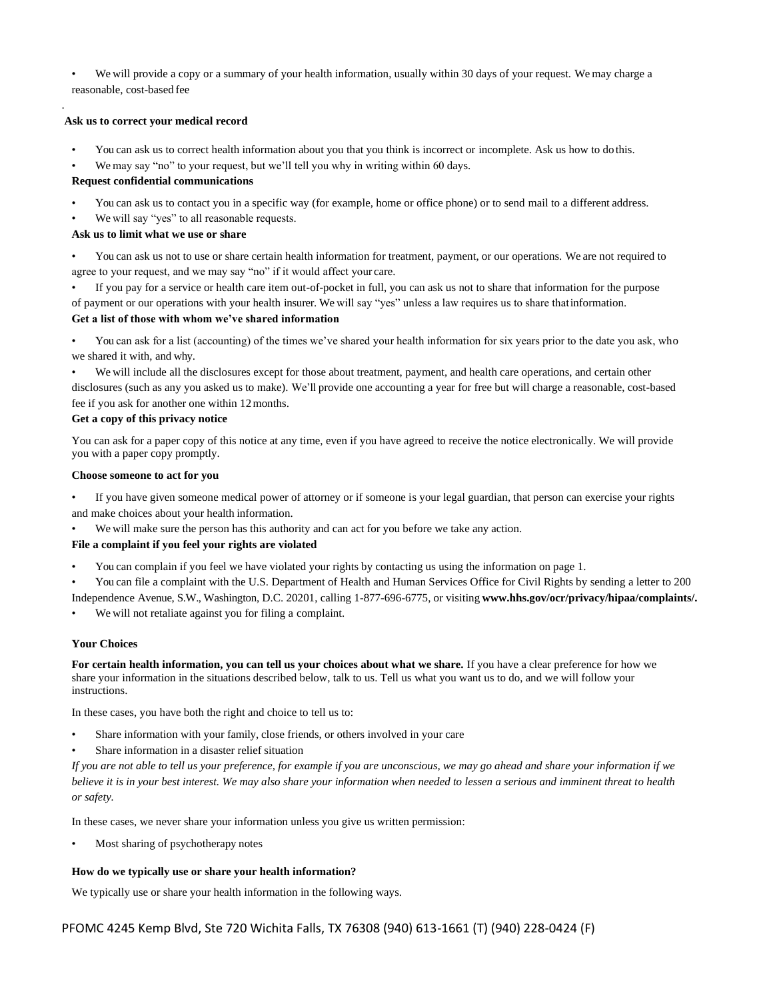• We will provide a copy or a summary of your health information, usually within 30 days of your request. We may charge a reasonable, cost-based fee

### **Ask us to correct your medical record**

.

- You can ask us to correct health information about you that you think is incorrect or incomplete. Ask us how to do this.
- We may say "no" to your request, but we'll tell you why in writing within 60 days.

## **Request confidential communications**

- You can ask us to contact you in a specific way (for example, home or office phone) or to send mail to a different address.
- We will say "yes" to all reasonable requests.

## **Ask us to limit what we use or share**

• You can ask us not to use or share certain health information for treatment, payment, or our operations. We are not required to agree to your request, and we may say "no" if it would affect your care.

• If you pay for a service or health care item out-of-pocket in full, you can ask us not to share that information for the purpose of payment or our operations with your health insurer. We will say "yes" unless a law requires us to share thatinformation.

### **Get a list of those with whom we've shared information**

• You can ask for a list (accounting) of the times we've shared your health information for six years prior to the date you ask, who we shared it with, and why.

We will include all the disclosures except for those about treatment, payment, and health care operations, and certain other disclosures (such as any you asked us to make). We'll provide one accounting a year for free but will charge a reasonable, cost-based fee if you ask for another one within 12months.

#### **Get a copy of this privacy notice**

You can ask for a paper copy of this notice at any time, even if you have agreed to receive the notice electronically. We will provide you with a paper copy promptly.

#### **Choose someone to act for you**

• If you have given someone medical power of attorney or if someone is your legal guardian, that person can exercise your rights and make choices about your health information.

We will make sure the person has this authority and can act for you before we take any action.

## **File a complaint if you feel your rights are violated**

- You can complain if you feel we have violated your rights by contacting us using the information on page 1.
- You can file a complaint with the U.S. Department of Health and Human Services Office for Civil Rights by sending a letter to 200

Independence Avenue, S.W., Washington, D.C. 20201, calling 1-877-696-6775, or visiting **[www.hhs.gov/ocr/privacy/hipaa/complaints/.](http://www.hhs.gov/ocr/privacy/hipaa/complaints/)**

We will not retaliate against you for filing a complaint.

## **Your Choices**

**For certain health information, you can tell us your choices about what we share.** If you have a clear preference for how we share your information in the situations described below, talk to us. Tell us what you want us to do, and we will follow your instructions.

In these cases, you have both the right and choice to tell us to:

- Share information with your family, close friends, or others involved in your care
- Share information in a disaster relief situation

*If you are not able to tell us your preference, for example if you are unconscious, we may go ahead and share your information if we believe it is in your best interest. We may also share your information when needed to lessen a serious and imminent threat to health or safety.*

In these cases, we never share your information unless you give us written permission:

Most sharing of psychotherapy notes

## **How do we typically use or share your health information?**

We typically use or share your health information in the following ways.

PFOMC 4245 Kemp Blvd, Ste 720 Wichita Falls, TX 76308 (940) 613-1661 (T) (940) 228-0424 (F)